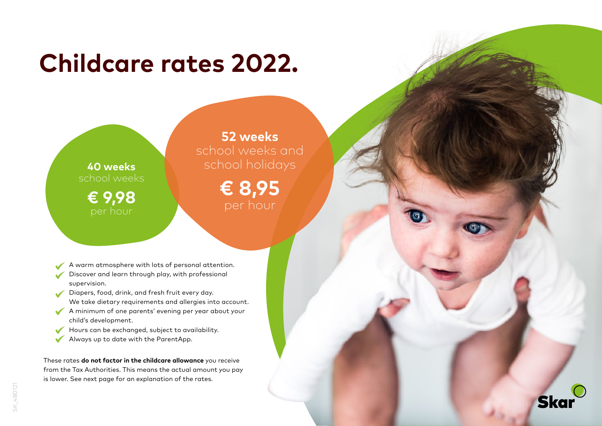## **Childcare rates 2022.**

**40 weeks**  school weeks **€ 9,98**

**52 weeks**  school weeks and school holidays

> **€ 8,95** per hour

A warm atmosphere with lots of personal attention.

- Discover and learn through play, with professional supervision.
- Diapers, food, drink, and fresh fruit every day. We take dietary requirements and allergies into account.
- A minimum of one parents' evening per year about your child's development.
- Hours can be exchanged, subject to availability.
- Always up to date with the ParentApp.  $\checkmark$

These rates **do not factor in the childcare allowance** you receive from the Tax Authorities. This means the actual amount you pay is lower. See next page for an explanation of the rates.